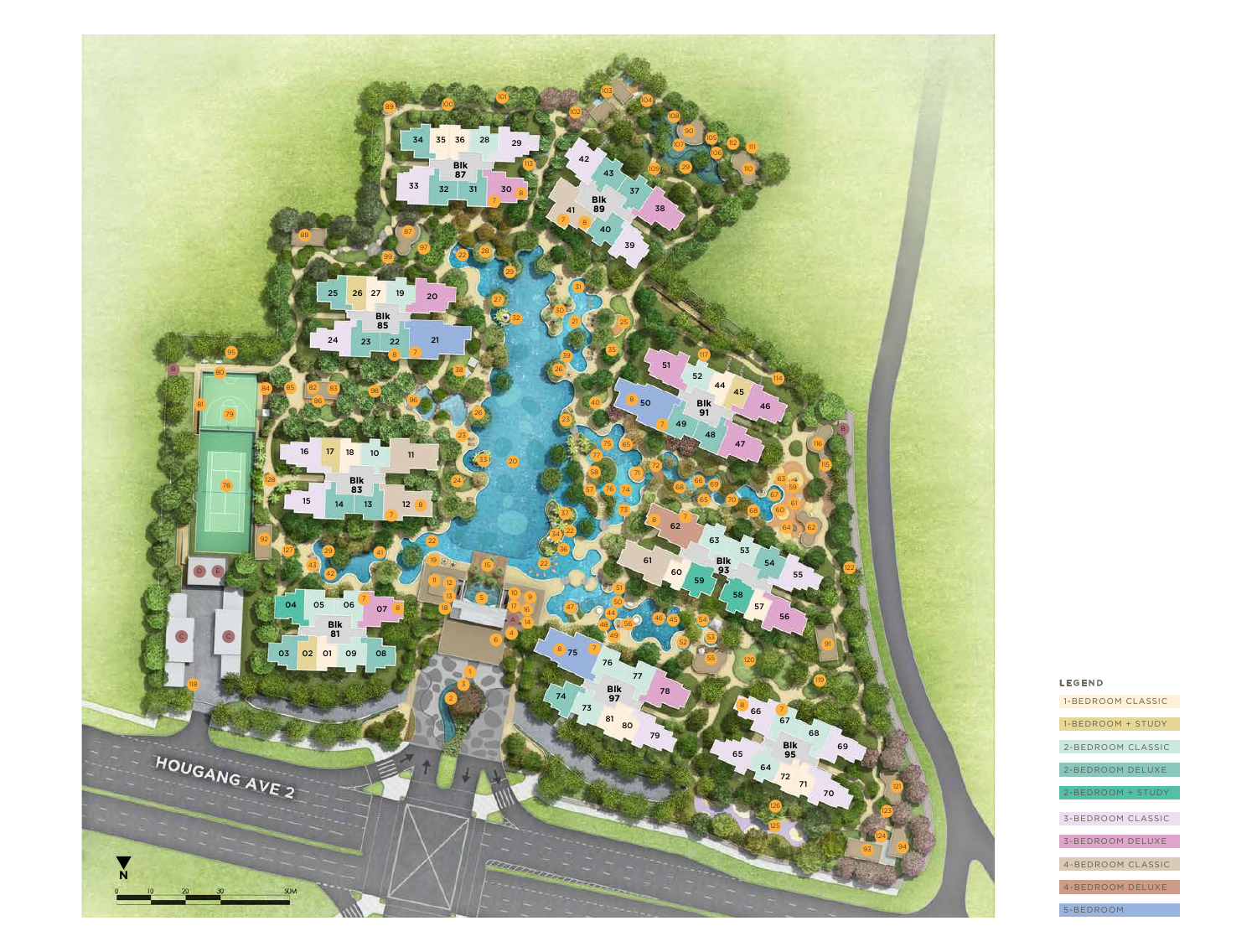

#### LEGEND

| 1-BEDROOM CLASSIC        |
|--------------------------|
| 1-BEDROOM + STUDY        |
|                          |
| 2-BEDROOM CLASSIC        |
| 2-BEDROOM DELUXE         |
| 2-BEDROOM + STUDY        |
|                          |
| <b>3-BEDROOM CLASSIC</b> |
| <b>3-BEDROOM DELUXE</b>  |
| 4-BEDROOM CLASSIC        |
|                          |
| 4-BEDROOM DELUXE         |
| 5-BEDROOM                |